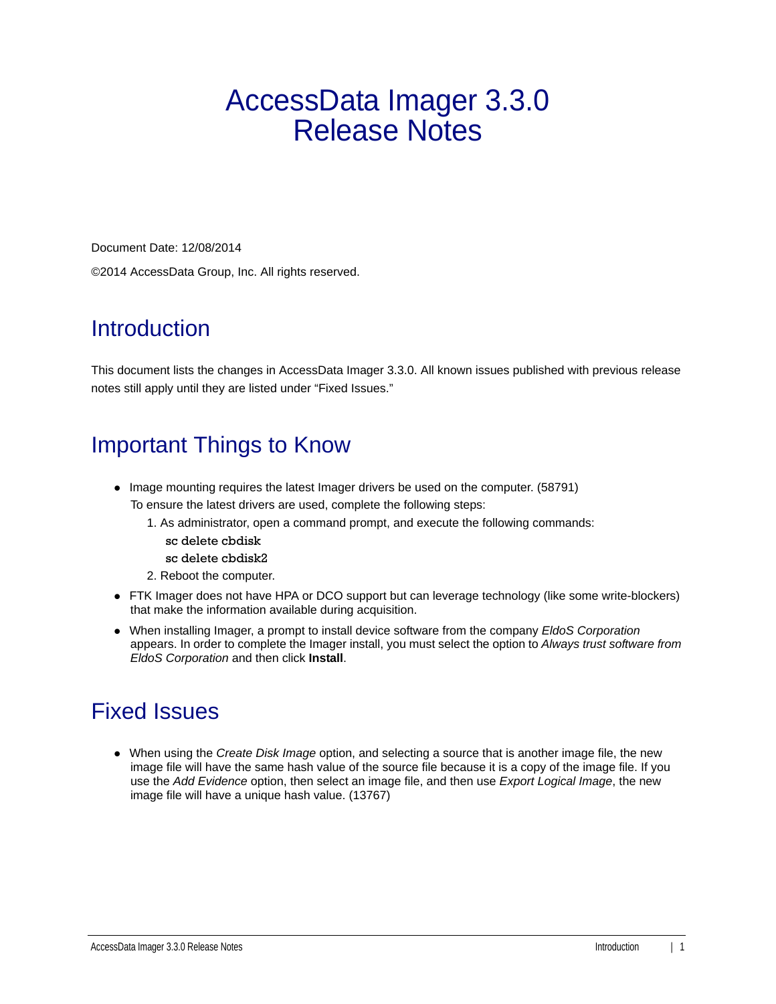# AccessData Imager 3.3.0 Release Notes

Document Date: 12/08/2014 ©2014 AccessData Group, Inc. All rights reserved.

#### **Introduction**

This document lists the changes in AccessData Imager 3.3.0. All known issues published with previous release notes still apply until they are listed under "Fixed Issues."

#### Important Things to Know

- Image mounting requires the latest Imager drivers be used on the computer. (58791) To ensure the latest drivers are used, complete the following steps:
	- 1. As administrator, open a command prompt, and execute the following commands:
		- sc delete cbdisk
		- sc delete cbdisk2
	- 2. Reboot the computer.
- FTK Imager does not have HPA or DCO support but can leverage technology (like some write-blockers) that make the information available during acquisition.
- When installing Imager, a prompt to install device software from the company *EldoS Corporation*  appears. In order to complete the Imager install, you must select the option to *Always trust software from EldoS Corporation* and then click **Install**.

## Fixed Issues

When using the *Create Disk Image* option, and selecting a source that is another image file, the new image file will have the same hash value of the source file because it is a copy of the image file. If you use the *Add Evidence* option, then select an image file, and then use *Export Logical Image*, the new image file will have a unique hash value. (13767)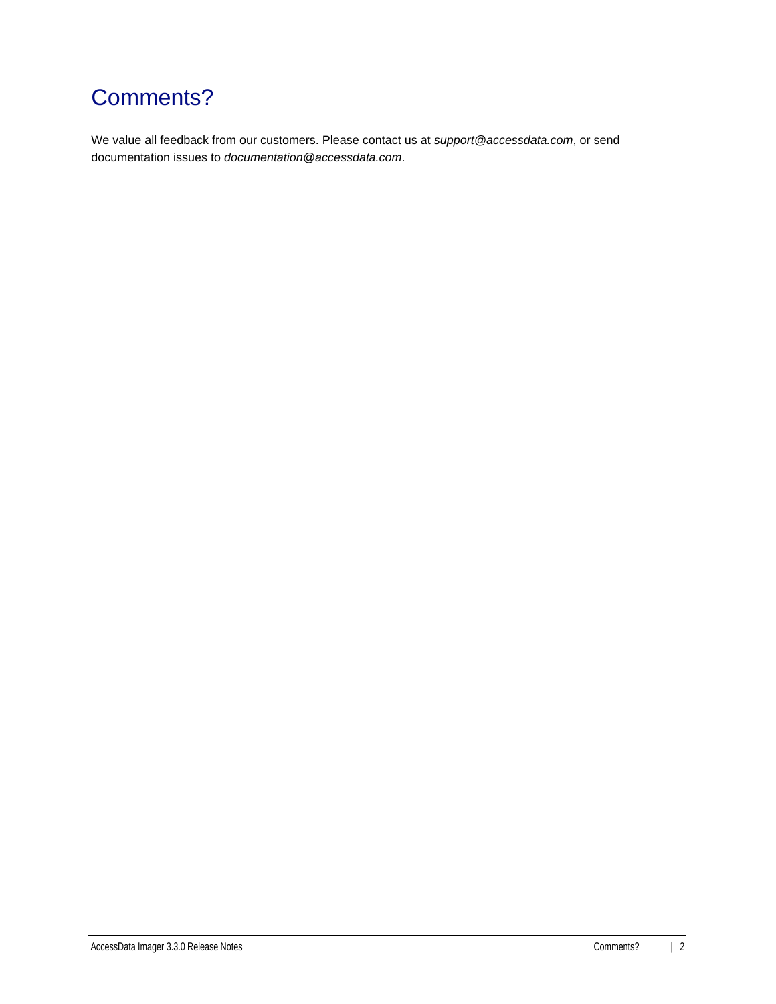# Comments?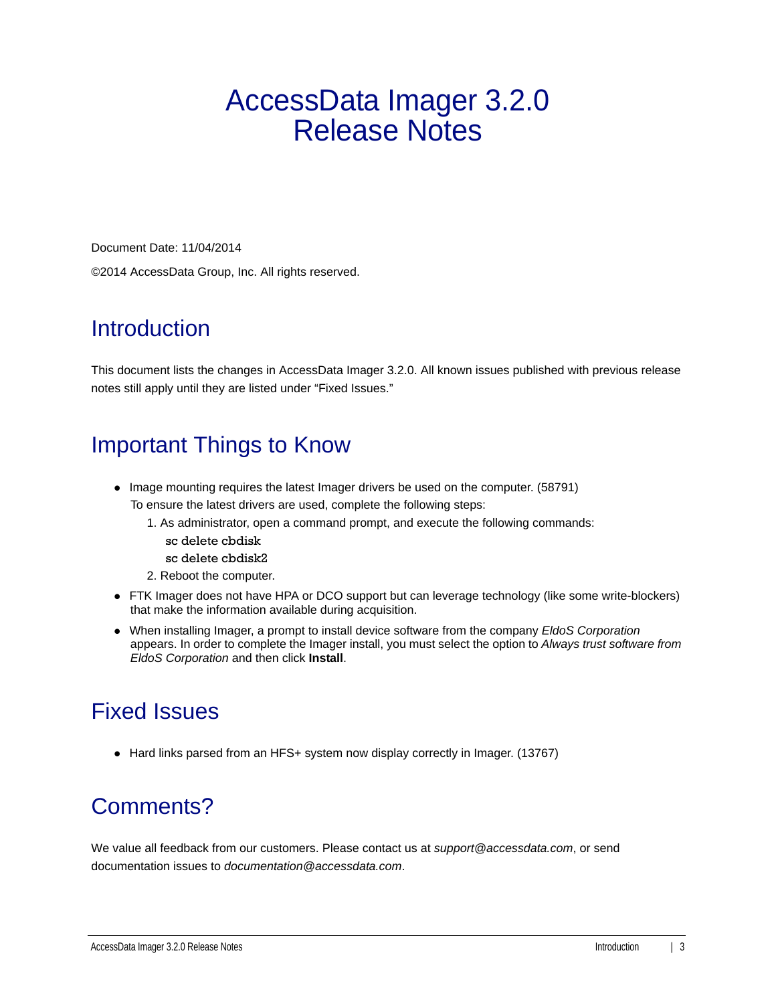# AccessData Imager 3.2.0 Release Notes

Document Date: 11/04/2014 ©2014 AccessData Group, Inc. All rights reserved.

#### **Introduction**

This document lists the changes in AccessData Imager 3.2.0. All known issues published with previous release notes still apply until they are listed under "Fixed Issues."

## Important Things to Know

- Image mounting requires the latest Imager drivers be used on the computer. (58791) To ensure the latest drivers are used, complete the following steps:
	- 1. As administrator, open a command prompt, and execute the following commands:
		- sc delete cbdisk
		- sc delete cbdisk2
	- 2. Reboot the computer.
- FTK Imager does not have HPA or DCO support but can leverage technology (like some write-blockers) that make the information available during acquisition.
- When installing Imager, a prompt to install device software from the company *EldoS Corporation*  appears. In order to complete the Imager install, you must select the option to *Always trust software from EldoS Corporation* and then click **Install**.

## Fixed Issues

• Hard links parsed from an HFS+ system now display correctly in Imager. (13767)

## Comments?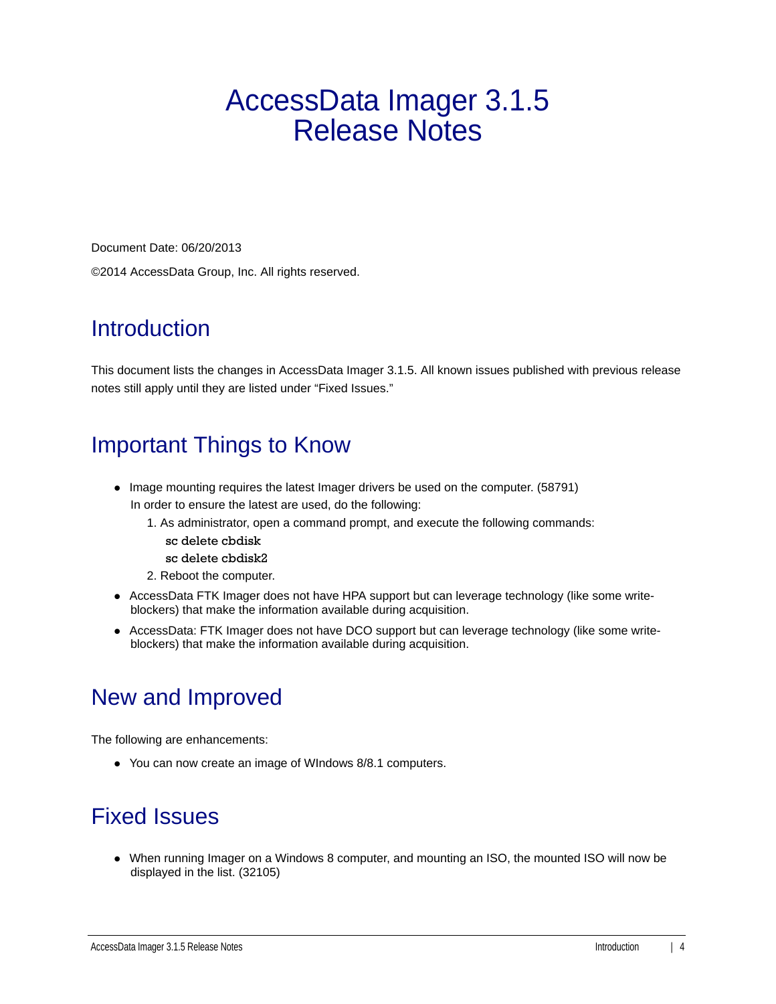# AccessData Imager 3.1.5 Release Notes

Document Date: 06/20/2013 ©2014 AccessData Group, Inc. All rights reserved.

#### **Introduction**

This document lists the changes in AccessData Imager 3.1.5. All known issues published with previous release notes still apply until they are listed under "Fixed Issues."

## Important Things to Know

- Image mounting requires the latest Imager drivers be used on the computer. (58791) In order to ensure the latest are used, do the following:
	- 1. As administrator, open a command prompt, and execute the following commands:
		- sc delete cbdisk
		- sc delete cbdisk2
	- 2. Reboot the computer.
- AccessData FTK Imager does not have HPA support but can leverage technology (like some writeblockers) that make the information available during acquisition.
- AccessData: FTK Imager does not have DCO support but can leverage technology (like some writeblockers) that make the information available during acquisition.

## New and Improved

The following are enhancements:

You can now create an image of WIndows 8/8.1 computers.

## Fixed Issues

When running Imager on a Windows 8 computer, and mounting an ISO, the mounted ISO will now be displayed in the list. (32105)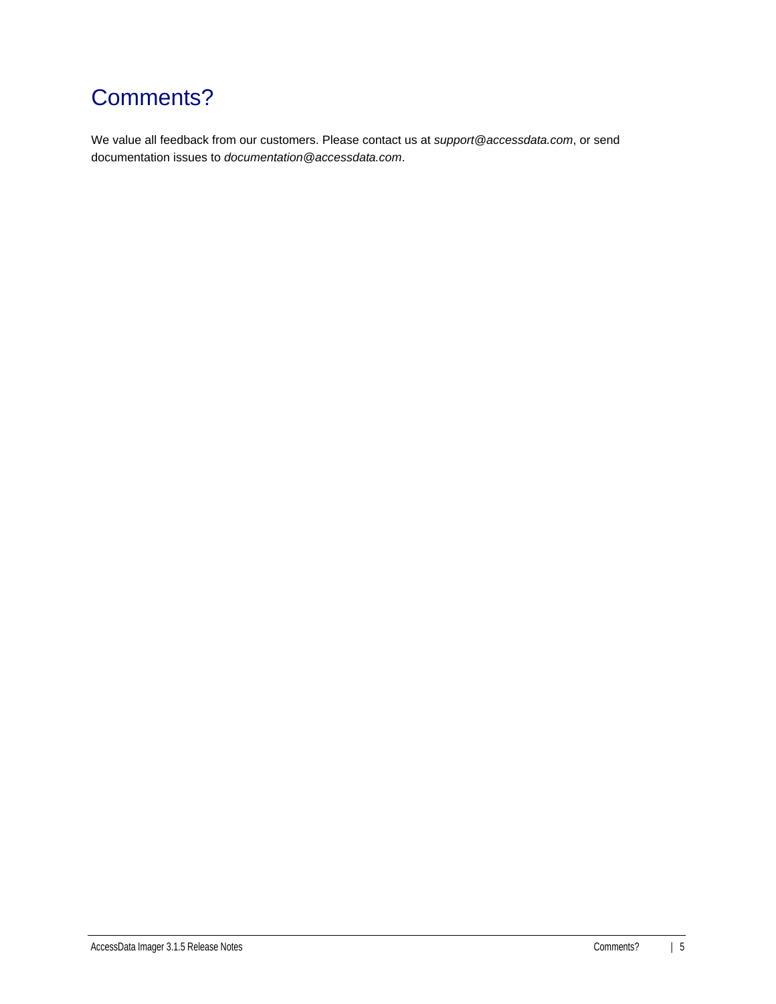# Comments?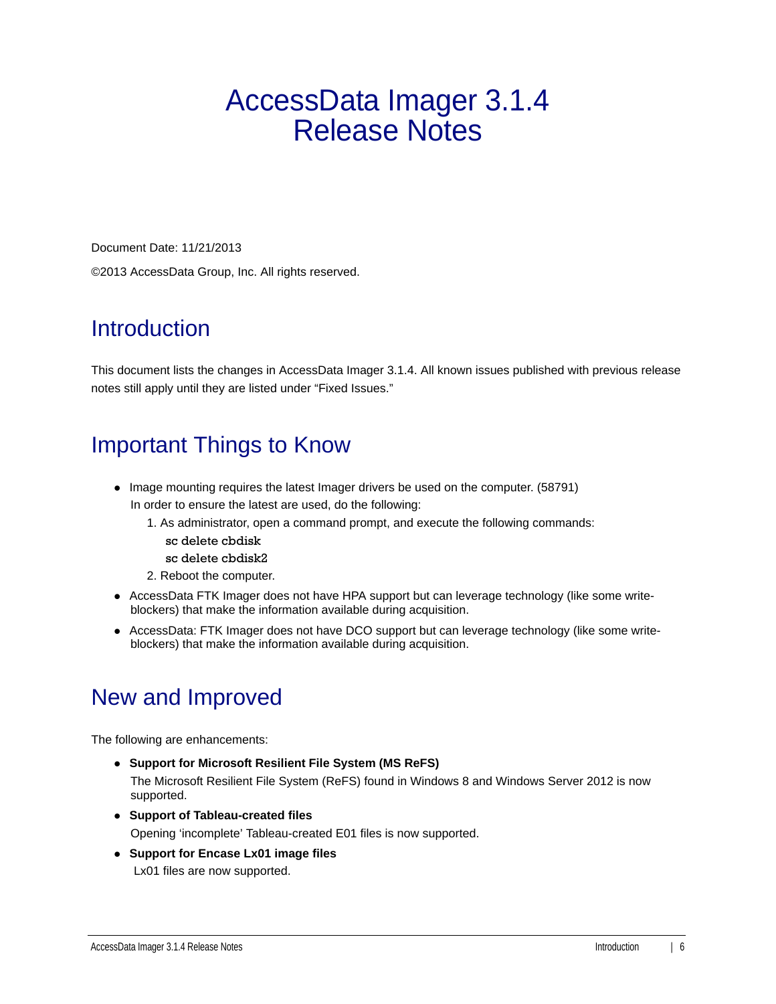# AccessData Imager 3.1.4 Release Notes

Document Date: 11/21/2013 ©2013 AccessData Group, Inc. All rights reserved.

#### **Introduction**

This document lists the changes in AccessData Imager 3.1.4. All known issues published with previous release notes still apply until they are listed under "Fixed Issues."

#### Important Things to Know

- Image mounting requires the latest Imager drivers be used on the computer. (58791) In order to ensure the latest are used, do the following:
	- 1. As administrator, open a command prompt, and execute the following commands:
		- sc delete cbdisk
		- sc delete cbdisk2
	- 2. Reboot the computer.
- AccessData FTK Imager does not have HPA support but can leverage technology (like some writeblockers) that make the information available during acquisition.
- AccessData: FTK Imager does not have DCO support but can leverage technology (like some writeblockers) that make the information available during acquisition.

## New and Improved

The following are enhancements:

- **Support for Microsoft Resilient File System (MS ReFS)** The Microsoft Resilient File System (ReFS) found in Windows 8 and Windows Server 2012 is now supported.
- **Support of Tableau-created files** Opening 'incomplete' Tableau-created E01 files is now supported.
- **Support for Encase Lx01 image files** Lx01 files are now supported.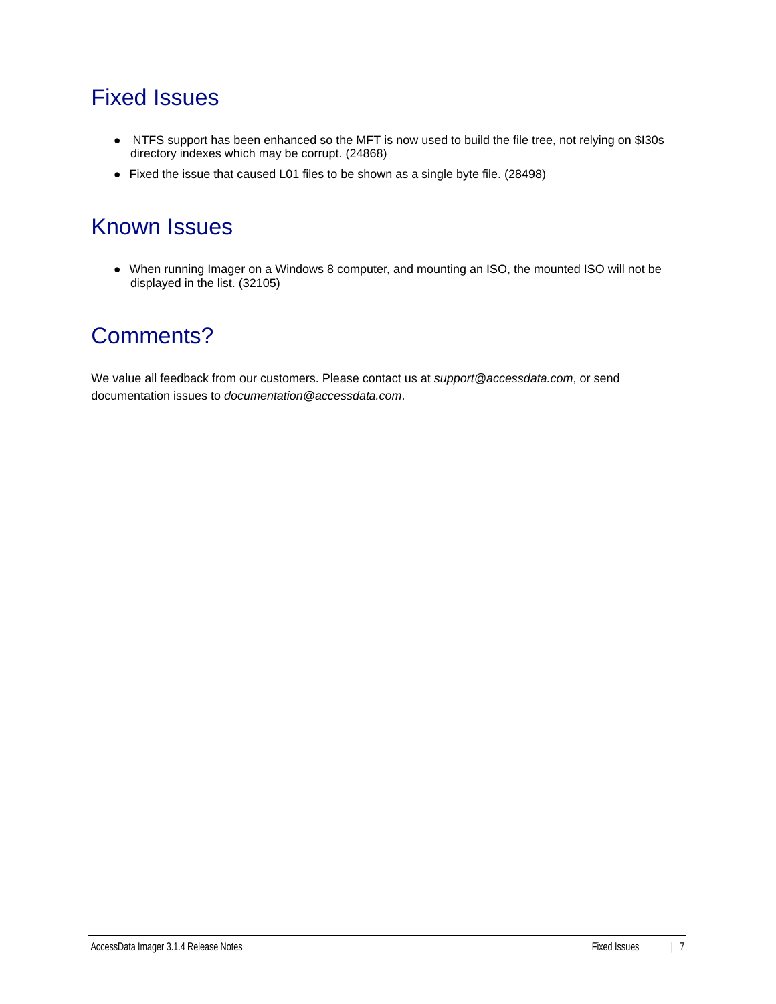#### Fixed Issues

- NTFS support has been enhanced so the MFT is now used to build the file tree, not relying on \$I30s directory indexes which may be corrupt. (24868)
- Fixed the issue that caused L01 files to be shown as a single byte file. (28498)

#### Known Issues

When running Imager on a Windows 8 computer, and mounting an ISO, the mounted ISO will not be displayed in the list. (32105)

#### Comments?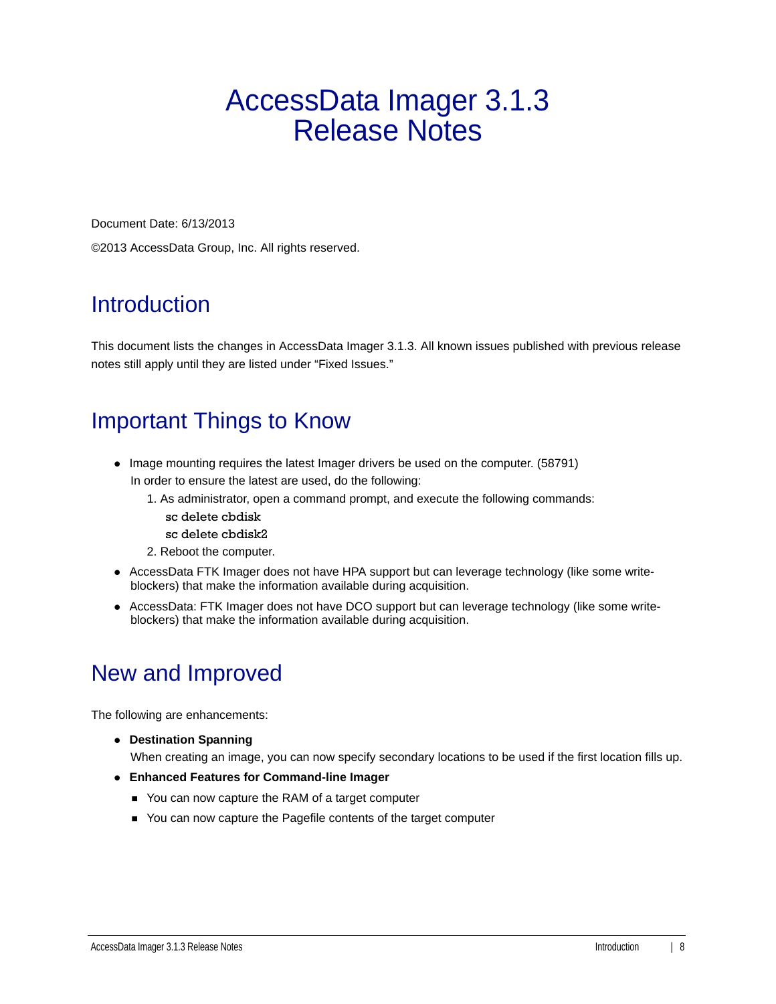# AccessData Imager 3.1.3 Release Notes

Document Date: 6/13/2013

©2013 AccessData Group, Inc. All rights reserved.

## Introduction

This document lists the changes in AccessData Imager 3.1.3. All known issues published with previous release notes still apply until they are listed under "Fixed Issues."

# Important Things to Know

- Image mounting requires the latest Imager drivers be used on the computer. (58791) In order to ensure the latest are used, do the following:
	- 1. As administrator, open a command prompt, and execute the following commands:
		- sc delete cbdisk
		- sc delete cbdisk2
	- 2. Reboot the computer.
- AccessData FTK Imager does not have HPA support but can leverage technology (like some writeblockers) that make the information available during acquisition.
- AccessData: FTK Imager does not have DCO support but can leverage technology (like some writeblockers) that make the information available during acquisition.

# New and Improved

The following are enhancements:

**Destination Spanning**

When creating an image, you can now specify secondary locations to be used if the first location fills up.

- **Enhanced Features for Command-line Imager**
	- You can now capture the RAM of a target computer
	- You can now capture the Pagefile contents of the target computer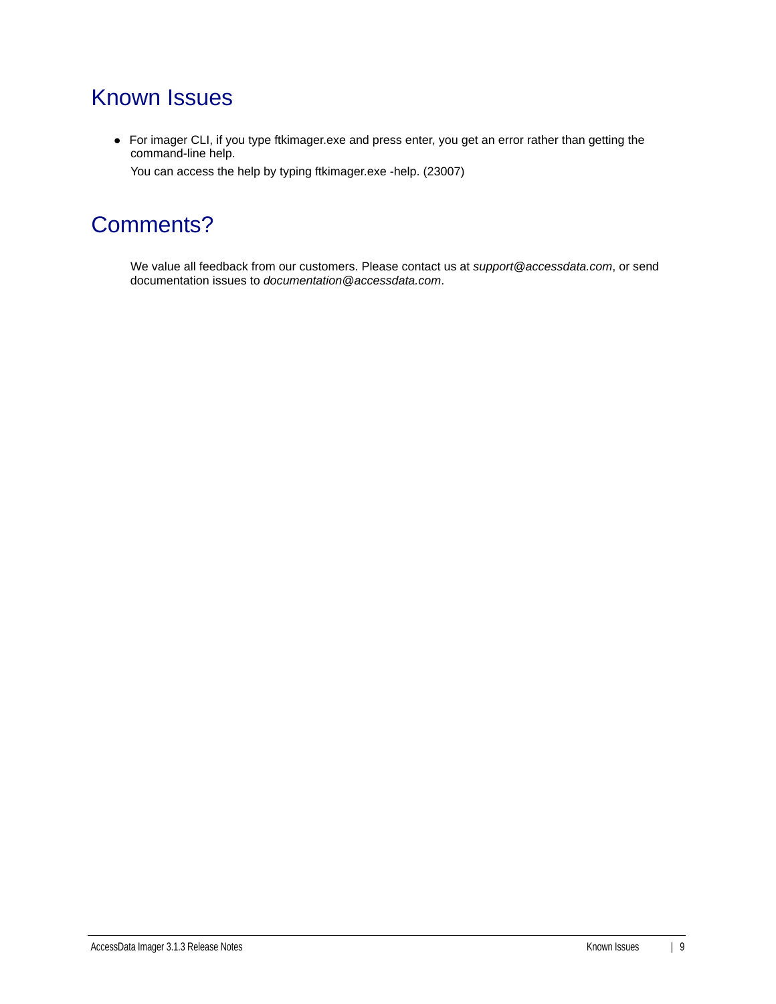#### Known Issues

For imager CLI, if you type ftkimager.exe and press enter, you get an error rather than getting the command-line help.

You can access the help by typing ftkimager.exe -help. (23007)

#### Comments?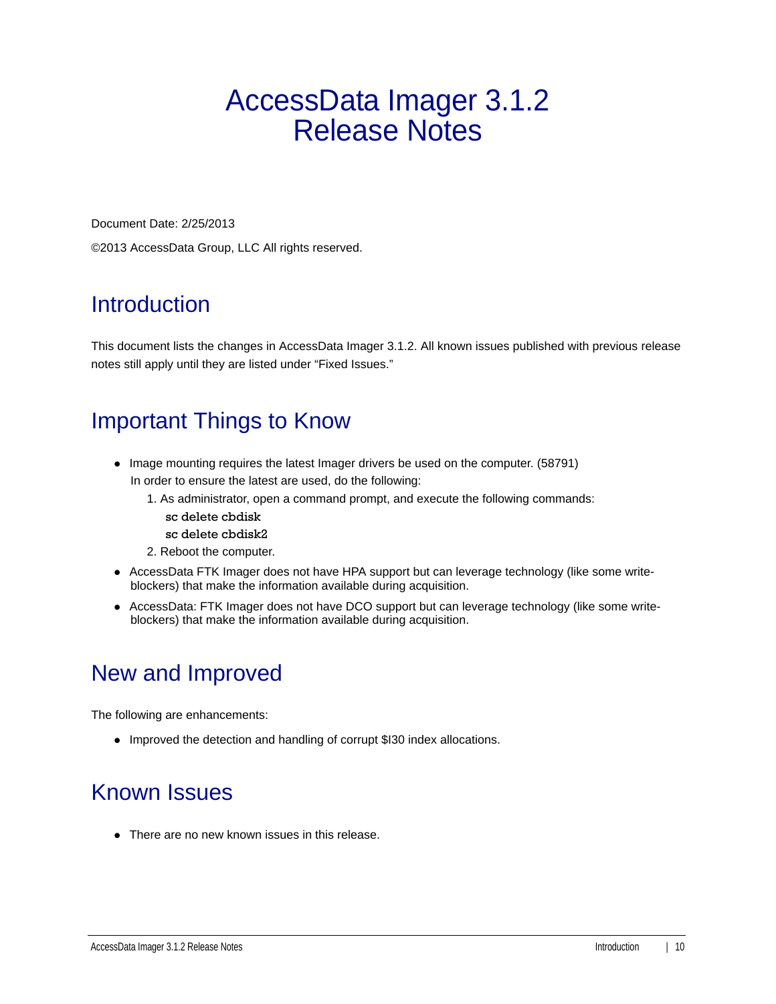# AccessData Imager 3.1.2 Release Notes

Document Date: 2/25/2013

©2013 AccessData Group, LLC All rights reserved.

## **Introduction**

This document lists the changes in AccessData Imager 3.1.2. All known issues published with previous release notes still apply until they are listed under "Fixed Issues."

# Important Things to Know

- Image mounting requires the latest Imager drivers be used on the computer. (58791) In order to ensure the latest are used, do the following:
	- 1. As administrator, open a command prompt, and execute the following commands:
		- sc delete cbdisk
		- sc delete cbdisk2
	- 2. Reboot the computer.
- AccessData FTK Imager does not have HPA support but can leverage technology (like some writeblockers) that make the information available during acquisition.
- AccessData: FTK Imager does not have DCO support but can leverage technology (like some writeblockers) that make the information available during acquisition.

## New and Improved

The following are enhancements:

• Improved the detection and handling of corrupt \$I30 index allocations.

## Known Issues

• There are no new known issues in this release.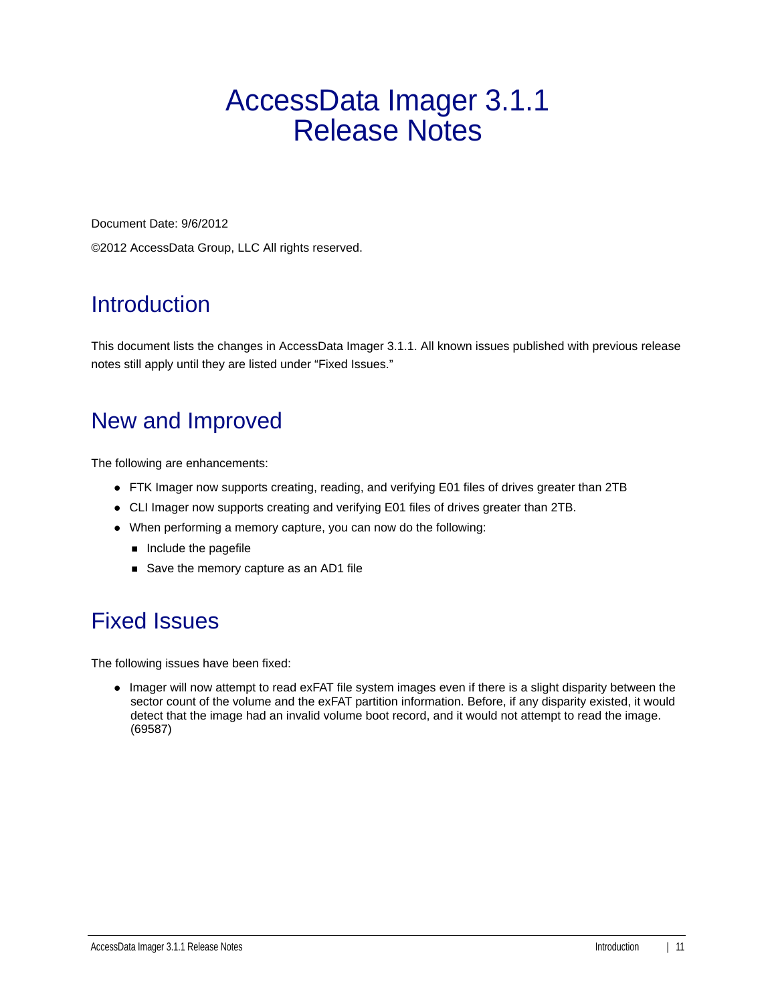# AccessData Imager 3.1.1 Release Notes

Document Date: 9/6/2012

©2012 AccessData Group, LLC All rights reserved.

# **Introduction**

This document lists the changes in AccessData Imager 3.1.1. All known issues published with previous release notes still apply until they are listed under "Fixed Issues."

# New and Improved

The following are enhancements:

- FTK Imager now supports creating, reading, and verifying E01 files of drives greater than 2TB
- CLI Imager now supports creating and verifying E01 files of drives greater than 2TB.
- When performing a memory capture, you can now do the following:
	- $\blacksquare$  Include the pagefile
	- Save the memory capture as an AD1 file

## Fixed Issues

The following issues have been fixed:

• Imager will now attempt to read exFAT file system images even if there is a slight disparity between the sector count of the volume and the exFAT partition information. Before, if any disparity existed, it would detect that the image had an invalid volume boot record, and it would not attempt to read the image. (69587)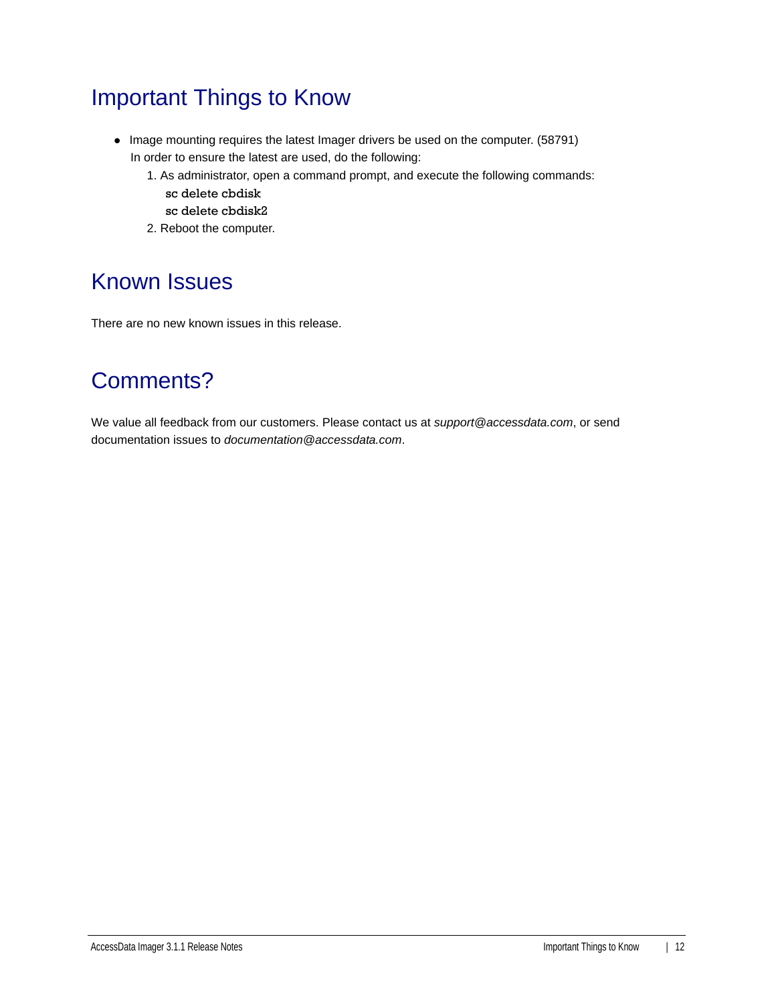## Important Things to Know

- Image mounting requires the latest Imager drivers be used on the computer. (58791) In order to ensure the latest are used, do the following:
	- 1. As administrator, open a command prompt, and execute the following commands: sc delete cbdisk
		- sc delete cbdisk2
	- 2. Reboot the computer.

#### Known Issues

There are no new known issues in this release.

## Comments?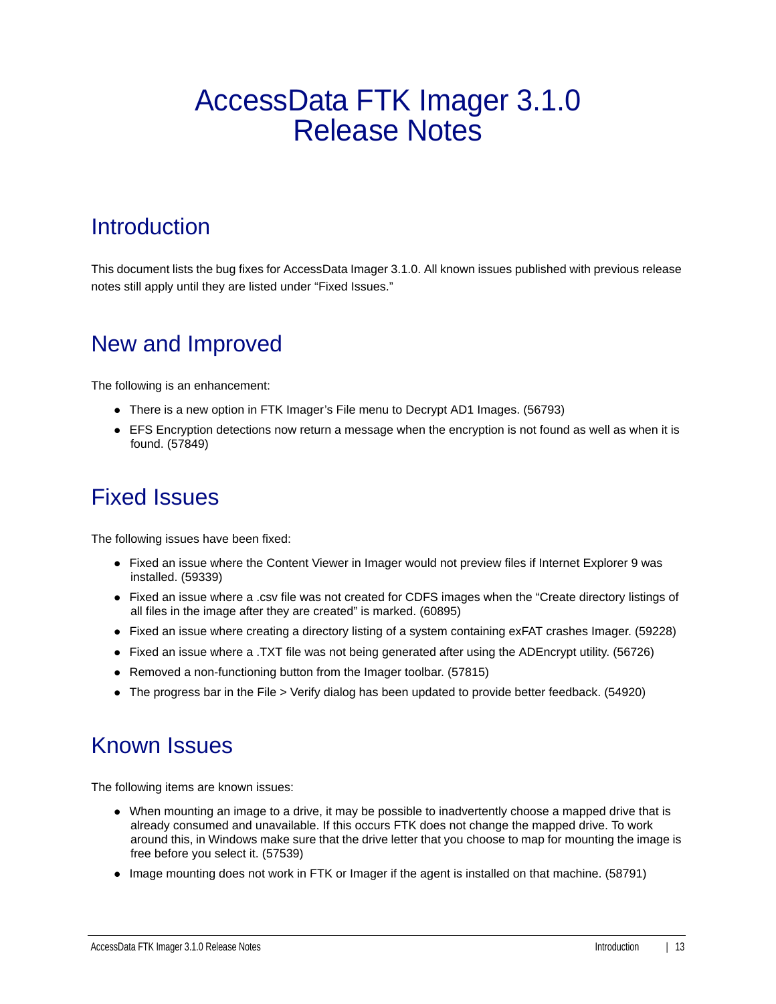# AccessData FTK Imager 3.1.0 Release Notes

#### **Introduction**

This document lists the bug fixes for AccessData Imager 3.1.0. All known issues published with previous release notes still apply until they are listed under "Fixed Issues."

#### New and Improved

The following is an enhancement:

- There is a new option in FTK Imager's File menu to Decrypt AD1 Images. (56793)
- EFS Encryption detections now return a message when the encryption is not found as well as when it is found. (57849)

#### Fixed Issues

The following issues have been fixed:

- Fixed an issue where the Content Viewer in Imager would not preview files if Internet Explorer 9 was installed. (59339)
- Fixed an issue where a .csv file was not created for CDFS images when the "Create directory listings of all files in the image after they are created" is marked. (60895)
- Fixed an issue where creating a directory listing of a system containing exFAT crashes Imager. (59228)
- Fixed an issue where a .TXT file was not being generated after using the ADEncrypt utility. (56726)
- Removed a non-functioning button from the Imager toolbar. (57815)
- The progress bar in the File > Verify dialog has been updated to provide better feedback. (54920)

#### Known Issues

The following items are known issues:

- When mounting an image to a drive, it may be possible to inadvertently choose a mapped drive that is already consumed and unavailable. If this occurs FTK does not change the mapped drive. To work around this, in Windows make sure that the drive letter that you choose to map for mounting the image is free before you select it. (57539)
- Image mounting does not work in FTK or Imager if the agent is installed on that machine. (58791)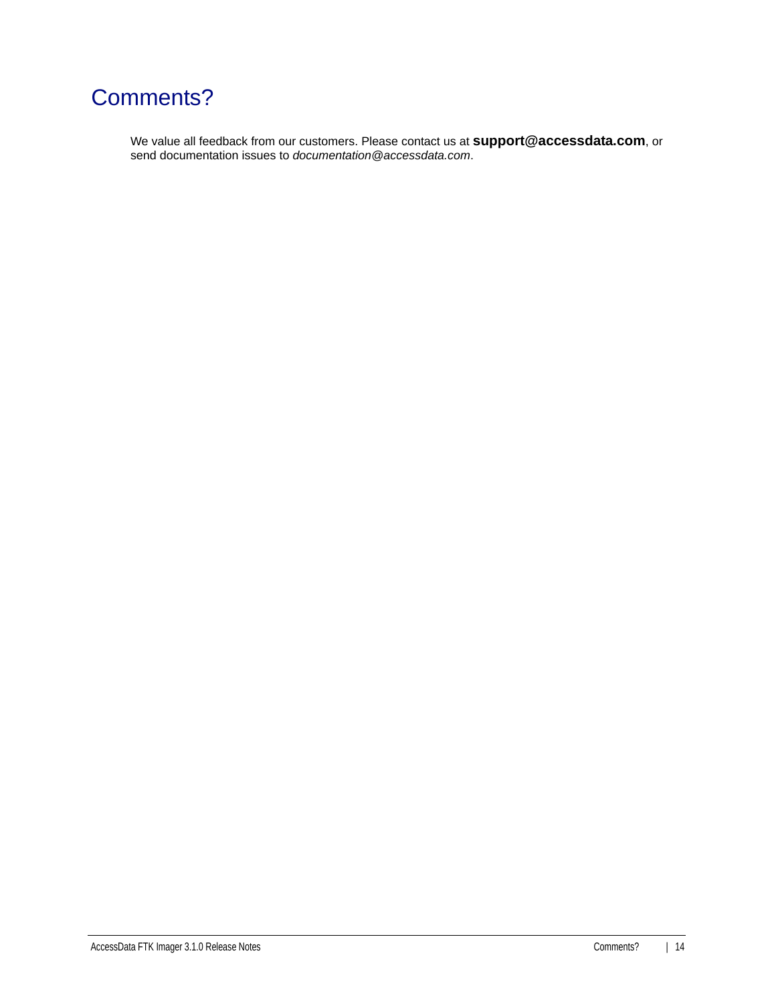